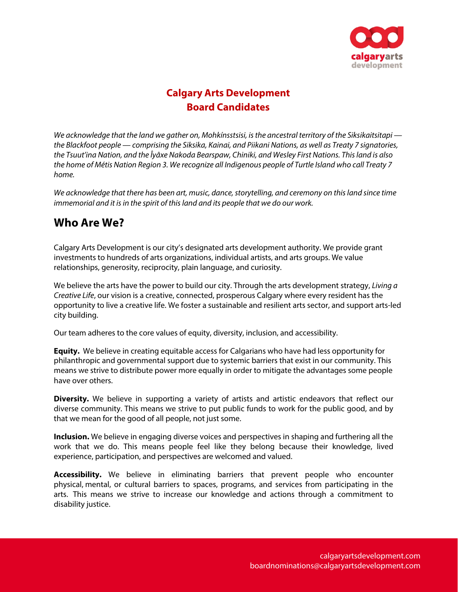

# **Calgary Arts Development Board Candidates**

We acknowledge that the land we gather on, Mohkínsstsisi, is the ancestral territory of the Siksikaitsitapi the Blackfoot people — comprising the Siksika, Kainai, and Piikani Nations, as well as Treaty 7 signatories, the Tsuut'ina Nation, and the Îyâxe Nakoda Bearspaw, Chiniki, and Wesley First Nations. This land is also the home of Métis Nation Region 3. We recognize all Indigenous people of Turtle Island who call Treaty 7 home.

We acknowledge that there has been art, music, dance, storytelling, and ceremony on this land since time immemorial and it is in the spirit of this land and its people that we do our work.

### **Who Are We?**

Calgary Arts Development is our city's designated arts development authority. We provide grant investments to hundreds of arts organizations, individual artists, and arts groups. We value relationships, generosity, reciprocity, plain language, and curiosity.

We believe the arts have the power to build our city. Through the arts development strategy, Living a Creative Life, our vision is a creative, connected, prosperous Calgary where every resident has the opportunity to live a creative life. We foster a sustainable and resilient arts sector, and support arts-led city building.

Our team adheres to the core values of equity, diversity, inclusion, and accessibility.

**Equity.** We believe in creating equitable access for Calgarians who have had less opportunity for philanthropic and governmental support due to systemic barriers that exist in our community. This means we strive to distribute power more equally in order to mitigate the advantages some people have over others.

**Diversity.** We believe in supporting a variety of artists and artistic endeavors that reflect our diverse community. This means we strive to put public funds to work for the public good, and by that we mean for the good of all people, not just some.

**Inclusion.** We believe in engaging diverse voices and perspectives in shaping and furthering all the work that we do. This means people feel like they belong because their knowledge, lived experience, participation, and perspectives are welcomed and valued.

**Accessibility.** We believe in eliminating barriers that prevent people who encounter physical, mental, or cultural barriers to spaces, programs, and services from participating in the arts. This means we strive to increase our knowledge and actions through a commitment to disability justice.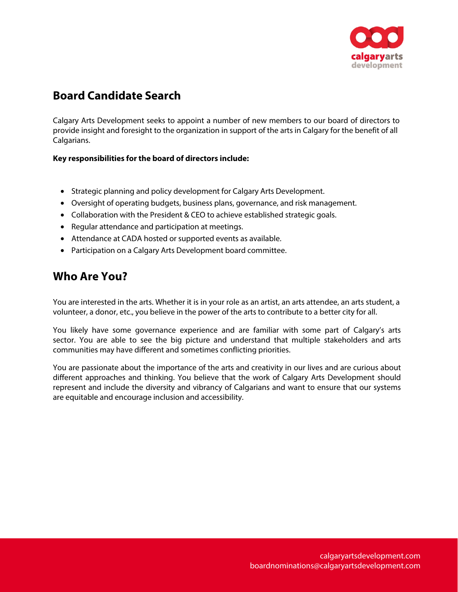

# **Board Candidate Search**

Calgary Arts Development seeks to appoint a number of new members to our board of directors to provide insight and foresight to the organization in support of the arts in Calgary for the benefit of all Calgarians.

#### **Key responsibilities for the board of directors include:**

- Strategic planning and policy development for Calgary Arts Development.
- Oversight of operating budgets, business plans, governance, and risk management.
- Collaboration with the President & CEO to achieve established strategic goals.
- Regular attendance and participation at meetings.
- Attendance at CADA hosted or supported events as available.
- Participation on a Calgary Arts Development board committee.

# **Who Are You?**

You are interested in the arts. Whether it is in your role as an artist, an arts attendee, an arts student, a volunteer, a donor, etc., you believe in the power of the arts to contribute to a better city for all.

You likely have some governance experience and are familiar with some part of Calgary's arts sector. You are able to see the big picture and understand that multiple stakeholders and arts communities may have different and sometimes conflicting priorities.

You are passionate about the importance of the arts and creativity in our lives and are curious about different approaches and thinking. You believe that the work of Calgary Arts Development should represent and include the diversity and vibrancy of Calgarians and want to ensure that our systems are equitable and encourage inclusion and accessibility.